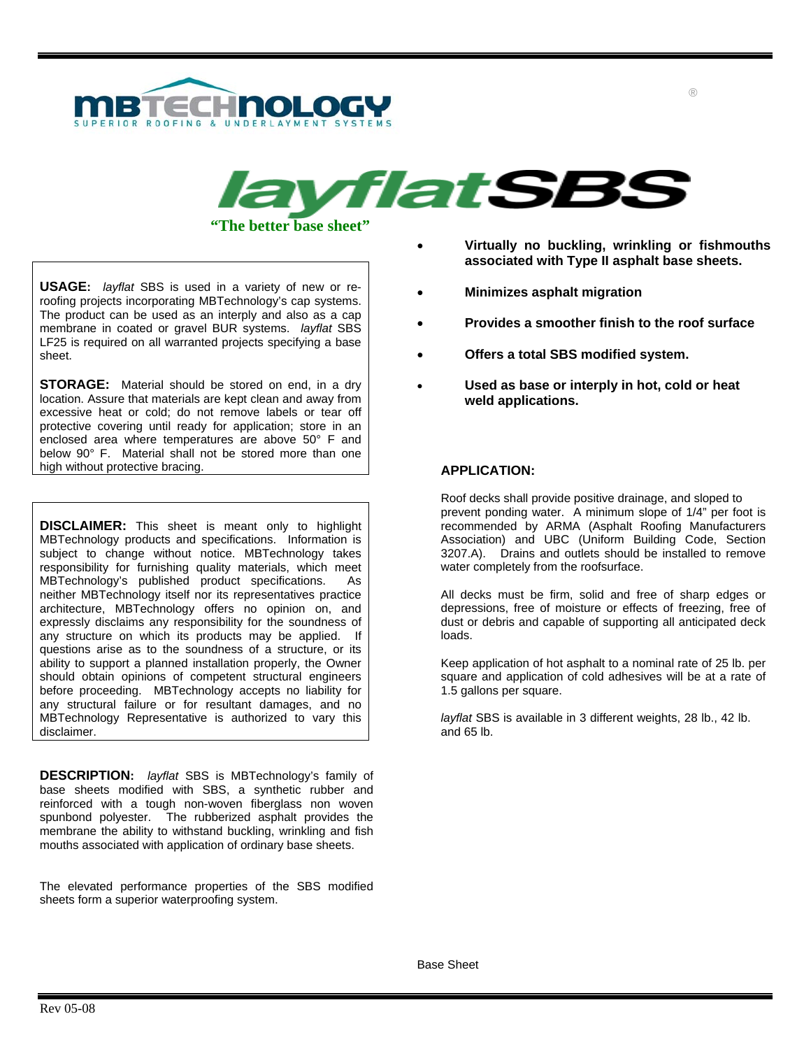



**USAGE:** *layflat* SBS is used in a variety of new or reroofing projects incorporating MBTechnology's cap systems. The product can be used as an interply and also as a cap membrane in coated or gravel BUR systems. *layflat* SBS LF25 is required on all warranted projects specifying a base sheet.

**STORAGE:** Material should be stored on end, in a dry location. Assure that materials are kept clean and away from excessive heat or cold; do not remove labels or tear off protective covering until ready for application; store in an enclosed area where temperatures are above 50° F and below 90° F. Material shall not be stored more than one high without protective bracing.

**DISCLAIMER:** This sheet is meant only to highlight MBTechnology products and specifications. Information is subject to change without notice. MBTechnology takes responsibility for furnishing quality materials, which meet MBTechnology's published product specifications. As neither MBTechnology itself nor its representatives practice architecture, MBTechnology offers no opinion on, and expressly disclaims any responsibility for the soundness of any structure on which its products may be applied. If questions arise as to the soundness of a structure, or its ability to support a planned installation properly, the Owner should obtain opinions of competent structural engineers before proceeding. MBTechnology accepts no liability for any structural failure or for resultant damages, and no MBTechnology Representative is authorized to vary this disclaimer.

**DESCRIPTION:** *layflat* SBS is MBTechnology's family of base sheets modified with SBS, a synthetic rubber and reinforced with a tough non-woven fiberglass non woven spunbond polyester. The rubberized asphalt provides the membrane the ability to withstand buckling, wrinkling and fish mouths associated with application of ordinary base sheets.

The elevated performance properties of the SBS modified sheets form a superior waterproofing system.

- **Virtually no buckling, wrinkling or fishmouths associated with Type II asphalt base sheets.**
- **Minimizes asphalt migration**
- **Provides a smoother finish to the roof surface**
- **Offers a total SBS modified system.**
- **Used as base or interply in hot, cold or heat weld applications.**

## **APPLICATION:**

Roof decks shall provide positive drainage, and sloped to prevent ponding water. A minimum slope of 1/4" per foot is recommended by ARMA (Asphalt Roofing Manufacturers Association) and UBC (Uniform Building Code, Section 3207.A). Drains and outlets should be installed to remove water completely from the roofsurface.

All decks must be firm, solid and free of sharp edges or depressions, free of moisture or effects of freezing, free of dust or debris and capable of supporting all anticipated deck loads.

Keep application of hot asphalt to a nominal rate of 25 lb. per square and application of cold adhesives will be at a rate of 1.5 gallons per square.

*layflat* SBS is available in 3 different weights, 28 lb., 42 lb. and 65 lb.